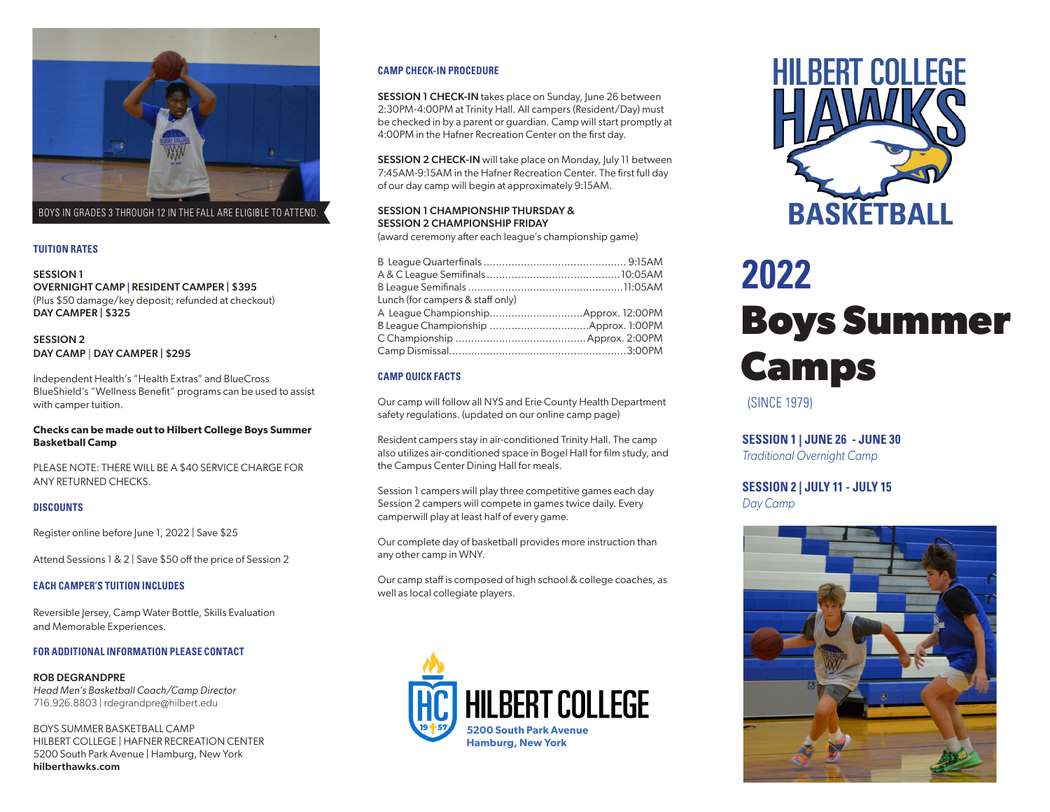

BOYS IN GRADES 3 THROUGH 12 IN THE FALL ARE ELIGIBLE TO ATTEND.

## **TUITION RATES**

SESSION 1 OVERNIGHT CAMP **|** RESIDENT CAMPER | \$395 (Plus \$50 damage/key deposit; refunded at checkout) DAY CAMPER | \$325

SESSION 2 DAY CAMP | DAY CAMPER | \$295

Independent Health's "Health Extras" and BlueCross BlueShield's "Wellness Benefit" programs can be used to assist with camper tuition.

## **Checks can be made out to Hilbert College Boys Summer Basketball Camp**

PLEASE NOTE: THERE WILL BE A \$40 SERVICE CHARGE FOR ANY RETURNED CHECKS.

# **DISCOUNTS**

Register online before June 1, 2022 | Save \$25

Attend Sessions 1 & 2 | Save \$50 off the price of Session 2

#### **EACH CAMPER'S TUITION INCLUDES**

Reversible Jersey, Camp Water Bottle, Skills Evaluation and Memorable Experiences.

#### **FOR ADDITIONAL INFORMATION PLEASE CONTACT**

ROB DEGRANDPRE *Head Men's Basketball Coach/Camp Director* 716.926.8803 | rdegrandpre@hilbert.edu

BOYS SUMMER BASKETBALL CAMP HILBERT COLLEGE | HAFNER RECREATION CENTER 5200 South Park Avenue | Hamburg, New York hilberthawks.com

#### **CAMP CHECK-IN PROCEDURE**

**SESSION 1 CHECK-IN** takes place on Sunday, June 26 between 2:30PM-4:00PM at Trinity Hall. All campers (Resident/Day) must be checked in by a parent or guardian. Camp will start promptly at 4:00PM in the Hafner Recreation Center on the first day.

SESSION 2 CHECK-IN will take place on Monday, July 11 between 7:45AM-9:15AM in the Hafner Recreation Center. The first full day of our day camp will begin at approximately 9:15AM.

# SESSION 1 CHAMPIONSHIP THURSDAY & SESSION 2 CHAMPIONSHIP FRIDAY

(award ceremony after each league's championship game)

| Lunch (for campers & staff only) |  |
|----------------------------------|--|
|                                  |  |
|                                  |  |
|                                  |  |
|                                  |  |

# **CAMP QUICK FACTS**

Our camp will follow all NYS and Erie County Health Department safety regulations. (updated on our online camp page)

Resident campers stay in air-conditioned Trinity Hall. The camp also utilizes air-conditioned space in Bogel Hall for film study, and the Campus Center Dining Hall for meals.

Session 1 campers will play three competitive games each day Session 2 campers will compete in games twice daily. Every camperwill play at least half of every game.

Our complete day of basketball provides more instruction than any other camp in WNY.

Our camp staff is composed of high school & college coaches, as well as local collegiate players.





# **Boys Summer Camps 2022**

(SINCE 1979)

**SESSION 1 | JUNE 26 - JUNE 30**

*Traditional Overnight Camp*

**SESSION 2 | JULY 11 - JULY 15** *Day Camp*